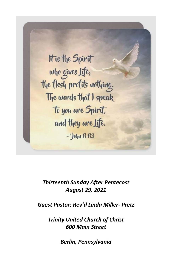It is the Spirit who gives life; the flesh profits nothing. The words that I speak to you are Spirit, and they are life.  $0$ ohn 6:63

# *Thirteenth Sunday After Pentecost August 29, 2021*

*Guest Pastor: Rev'd Linda Miller- Pretz*

*Trinity United Church of Christ 600 Main Street*

*Berlin, Pennsylvania*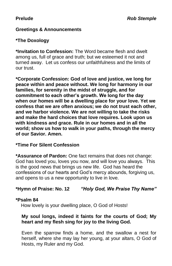#### **Greetings & Announcements**

# **\*The Doxology**

**\*Invitation to Confession:** The Word became flesh and dwelt among us, full of grace and truth; but we esteemed it not and turned away. Let us confess our unfaithfulness and the limits of our trust.

**\*Corporate Confession: God of love and justice, we long for peace within and peace without. We long for harmony in our families, for serenity in the midst of struggle, and for commitment to each other's growth. We long for the day when our homes will be a dwelling place for your love. Yet we confess that we are often anxious; we do not trust each other, and we harbor violence. We are not willing to take the risks and make the hard choices that love requires. Look upon us with kindness and grace. Rule in our homes and in all the world; show us how to walk in your paths, through the mercy of our Savior. Amen.**

# **\*Time For Silent Confession**

**\*Assurance of Pardon:** One fact remains that does not change: God has loved you, loves you now, and will love you always. This is the good news that brings us new life. God has heard the confessions of our hearts and God's mercy abounds, forgiving us, and opens to us a new opportunity to live in love.

# **\*Hymn of Praise: No. 12** *"Holy God, We Praise Thy Name"*

#### **\*Psalm 84**

How lovely is your dwelling place, O God of Hosts!

#### **My soul longs, indeed it faints for the courts of God; My heart and my flesh sing for joy to the living God.**

Even the sparrow finds a home, and the swallow a nest for herself, where she may lay her young, at your altars, O God of Hosts, my Ruler and my God.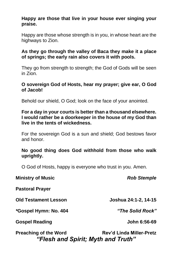#### **Happy are those that live in your house ever singing your praise.**

Happy are those whose strength is in you, in whose heart are the highways to Zion.

#### **As they go through the valley of Baca they make it a place of springs; the early rain also covers it with pools.**

They go from strength to strength; the God of Gods will be seen in Zion.

#### **O sovereign God of Hosts, hear my prayer; give ear, O God of Jacob!**

Behold our shield, O God; look on the face of your anointed.

#### **For a day in your courts is better than a thousand elsewhere. I would rather be a doorkeeper in the house of my God than live in the tents of wickedness.**

For the sovereign God is a sun and shield; God bestows favor and honor.

# **No good thing does God withhold from those who walk uprightly.**

O God of Hosts, happy is everyone who trust in you. Amen.

| <b>Ministry of Music</b>                                           | <b>Rob Stemple</b>       |
|--------------------------------------------------------------------|--------------------------|
| <b>Pastoral Prayer</b>                                             |                          |
| <b>Old Testament Lesson</b>                                        | Joshua 24:1-2, 14-15     |
| *Gospel Hymn: No. 404                                              | "The Solid Rock"         |
| <b>Gospel Reading</b>                                              | John 6:56-69             |
| <b>Preaching of the Word</b><br>"Flesh and Spirit; Myth and Truth" | Rev'd Linda Miller-Pretz |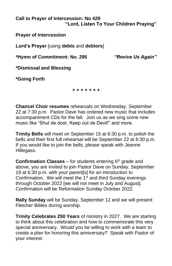# **Call to Prayer of Intercession: No 429 "Lord, Listen To Your Children Praying"**

**Prayer of Intercession**

**Lord's Prayer** [using **debts** and **debtors**]

**\*Hymn of Commitment: No. 295** *"Revive Us Again"*

**\*Dismissal and Blessing**

**\*Going Forth**

*+ + + + + + +*

**Chancel Choir resumes** rehearsals on Wednesday, September 22 at 7:30 p.m. Pastor Dave has ordered new music that includes accompaniment CDs for the fall. Join us as we sing some new music like "Shut de door, Keep out de Devil!" and more.

**Trinity Bells** will meet on September 15 at 6:30 p.m. to polish the bells and their first full rehearsal will be September 22 at 6:30 p.m. If you would like to join the bells, please speak with Jeanne Hillegass.

**Confirmation Classes** – for students entering 6<sup>th</sup> grade and above, you are invited to join Pastor Dave on Sunday, September 19 at 6:30 p.m. with your parent[s] for an introduction to Confirmation. We will meet the  $1<sup>st</sup>$  and third Sunday evenings through October 2022 [we will not meet in July and August]. Confirmation will be Reformation Sunday October 2022.

**Rally Sunday** will be Sunday, September 12 and we will present Fletcher Bibles during worship.

**Trinity Celebrates 250 Years** of ministry in 2027. We are starting to think about this celebration and how to commemorate this very special anniversary. Would you be willing to work with a team to create a plan for honoring this anniversary? Speak with Pastor of your interest.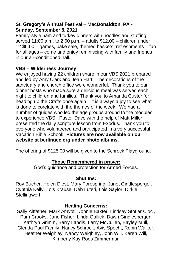# **St. Gregory's Annual Festival – MacDonaldton, PA - Sunday, September 5, 2021**

Family-style ham and turkey dinners with noodles and stuffing – served 11:00 a.m. to 2:00 p.m. – adults \$12.00 – children under 12 \$6.00 – games, bake sale, themed baskets, refreshments – fun for all ages – come and enjoy reminiscing with family and friends in our air-conditioned hall.

# **VBS – Wilderness Journey**

We enjoyed having 22 children share in our VBS 2021 prepared and led by Amy Clark and Jean Hart. The decorations of the sanctuary and church office were wonderful. Thank you to our dinner hosts who made sure a delicious meal was served each night to children and families. Thank you to Amanda Custer for heading up the Crafts once again – it is always a joy to see what is done to corelate with the themes of the week. We had a number of guides who led the age groups around to the modules to experience VBS. Pastor Dave with the help of Matt Miller presented the daily scripture lesson from Exodus. Thank you to everyone who volunteered and participated in a very successful Vacation Bible School**! Pictures are now available on our website at berlinucc.org under photo albums.**

The offering of \$125.00 will be given to the Schrock Playground.

# **Those Remembered in prayer:**

God's guidance and protection for Armed Forces.

# **Shut Ins:**

Roy Bucher, Helen Diest, Mary Forespring, Janet Gindlesperger, Cynthia Kelly, Lois Krause, Deb Luteri, Lois Saylor, Dirkje Stellingwerf.

# **Healing Concerns:**

Sally Altfather, Mark Amyot, Donnie Baxter, Lindsey Stotler Cioci, Pam Crooks, Jane Fisher, Linda Gallick, Dawn Gindlesperger, Kathryn Grimm, Barry Landis, Larry McCullen, Bayley Mull, Glenda Paul Family, Nancy Schrock, Avis Specht, Robin Walker, Heather Weighley, Nancy Weighley, John Will, Karen Will, Kimberly Kay Roos Zimmerman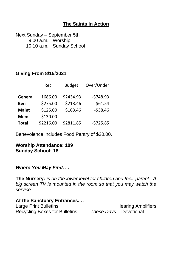# **The Saints In Action**

Next Sunday – September 5th 9:00 a.m. Worship 10:10 a.m. Sunday School

# **Giving From 8/15/2021**

|              | Rec       | <b>Budget</b> | Over/Under |
|--------------|-----------|---------------|------------|
| General      | 1686.00   | \$2434.93     | $-5748.93$ |
| Ben          | \$275.00  | \$213.46      | \$61.54    |
| <b>Maint</b> | \$125.00  | \$163.46      | $-538.46$  |
| Mem          | \$130.00  |               |            |
| <b>Total</b> | \$2216.00 | \$2811.85     | $-5725.85$ |

Benevolence includes Food Pantry of \$20.00.

#### **Worship Attendance: 109 Sunday School: 18**

#### *Where You May Find. . .*

**The Nursery:** *is on the lower level for children and their parent. A big screen TV is mounted in the room so that you may watch the service.*

#### **At the Sanctuary Entrances. . .** Large Print Bulletins **Example 20** Hearing Amplifiers Recycling Boxes for Bulletins *These Days –* Devotional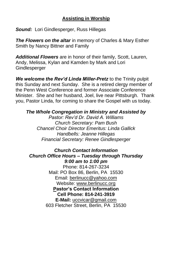# **Assisting in Worship**

*Sound:* Lori Gindlesperger, Russ Hillegas

*The Flowers on the altar* in memory of Charles & Mary Esther Smith by Nancy Bittner and Family

*Additional Flowers* are in honor of their family, Scott, Lauren, Andy, Melissa, Kylan and Kamden by Mark and Lori **Gindlesperger** 

*We welcome the Rev'd Linda Miller-Pretz* to the Trinity pulpit this Sunday and next Sunday. She is a retired clergy member of the Penn West Conference and former Associate Conference Minister. She and her husband, Joel, live near Pittsburgh. Thank you, Pastor Linda, for coming to share the Gospel with us today.

#### *The Whole Congregation in Ministry and Assisted by*

*Pastor: Rev'd Dr. David A. Williams Church Secretary: Pam Bush Chancel Choir Director Emeritus: Linda Gallick Handbells: Jeanne Hillegas Financial Secretary: Renee Gindlesperger*

#### *Church Contact Information Church Office Hours – Tuesday through Thursday 9:00 am to 1:00 pm*

Phone: 814-267-3234 Mail: PO Box 86, Berlin, PA 15530 Email: [berlinucc@yahoo.com](about:blank) Website: [www.berlinucc.org](about:blank) **Pastor's Contact Information Cell Phone: 814-241-3919 E-Mail:** [uccvicar@gmail.com](about:blank) 603 Fletcher Street, Berlin, PA 15530